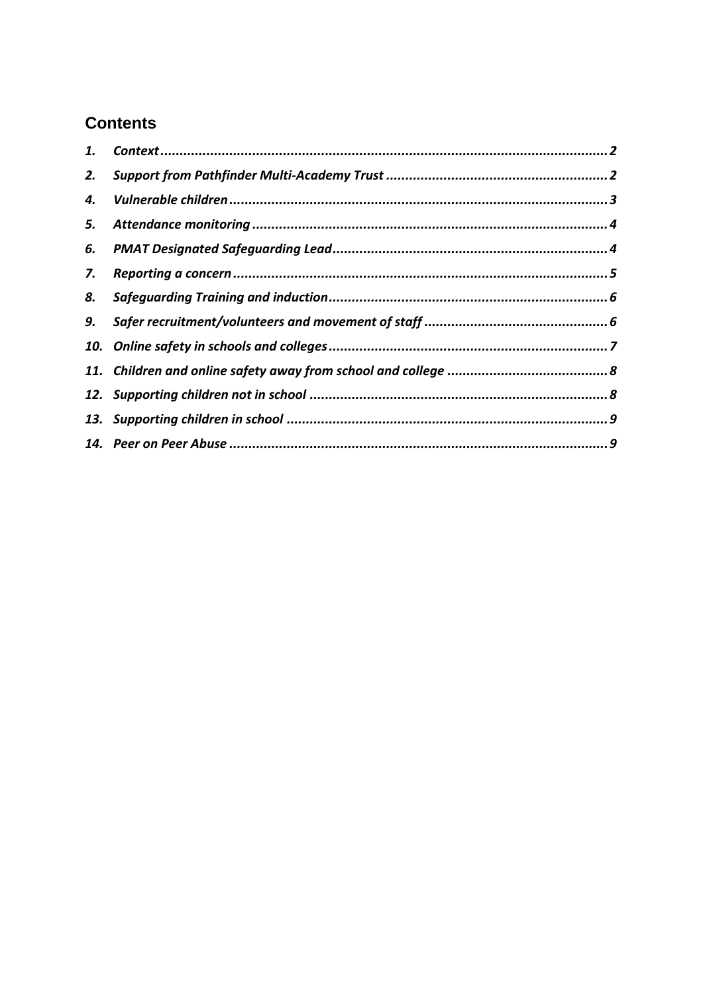# **Contents**

| 2. |  |
|----|--|
| 4. |  |
| 5. |  |
| 6. |  |
| 7. |  |
| 8. |  |
| 9. |  |
|    |  |
|    |  |
|    |  |
|    |  |
|    |  |
|    |  |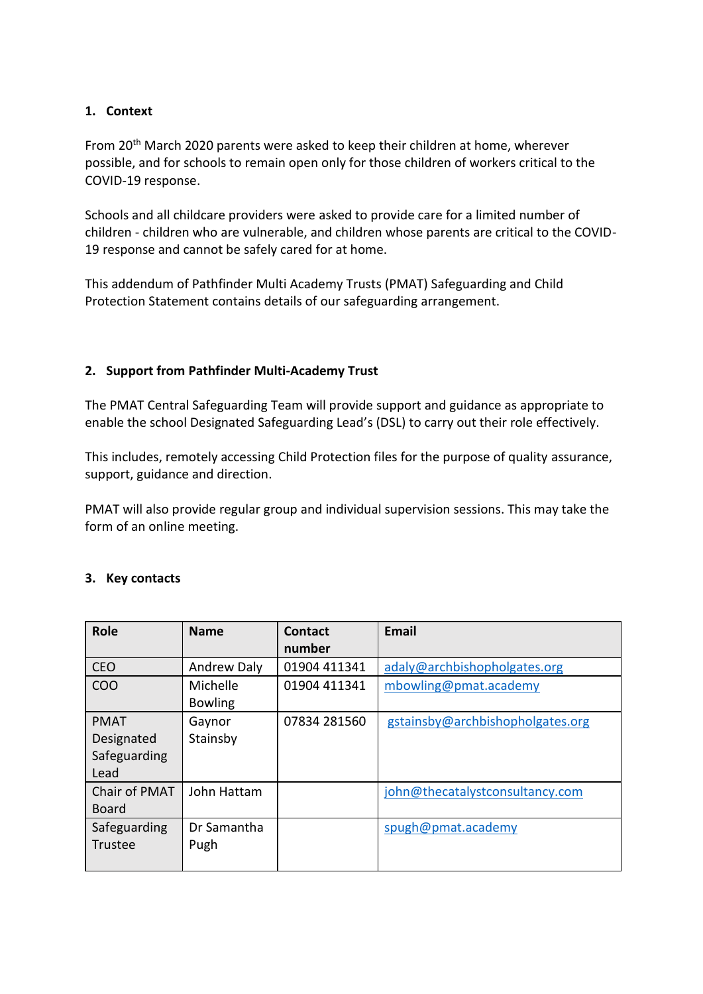# <span id="page-1-0"></span>**1. Context**

From 20th March 2020 parents were asked to keep their children at home, wherever possible, and for schools to remain open only for those children of workers critical to the COVID-19 response.

Schools and all childcare providers were asked to provide care for a limited number of children - children who are vulnerable, and children whose parents are critical to the COVID-19 response and cannot be safely cared for at home.

This addendum of Pathfinder Multi Academy Trusts (PMAT) Safeguarding and Child Protection Statement contains details of our safeguarding arrangement.

# <span id="page-1-1"></span>**2. Support from Pathfinder Multi-Academy Trust**

The PMAT Central Safeguarding Team will provide support and guidance as appropriate to enable the school Designated Safeguarding Lead's (DSL) to carry out their role effectively.

This includes, remotely accessing Child Protection files for the purpose of quality assurance, support, guidance and direction.

PMAT will also provide regular group and individual supervision sessions. This may take the form of an online meeting.

#### **3. Key contacts**

| <b>Role</b>                                       | <b>Name</b>                | Contact<br>number | <b>Email</b>                     |
|---------------------------------------------------|----------------------------|-------------------|----------------------------------|
| <b>CEO</b>                                        | <b>Andrew Daly</b>         | 01904 411341      | adaly@archbishopholgates.org     |
| <b>COO</b>                                        | Michelle<br><b>Bowling</b> | 01904 411341      | mbowling@pmat.academy            |
| <b>PMAT</b><br>Designated<br>Safeguarding<br>Lead | Gaynor<br>Stainsby         | 07834 281560      | gstainsby@archbishopholgates.org |
| Chair of PMAT<br><b>Board</b>                     | John Hattam                |                   | john@thecatalystconsultancy.com  |
| Safeguarding<br>Trustee                           | Dr Samantha<br>Pugh        |                   | spugh@pmat.academy               |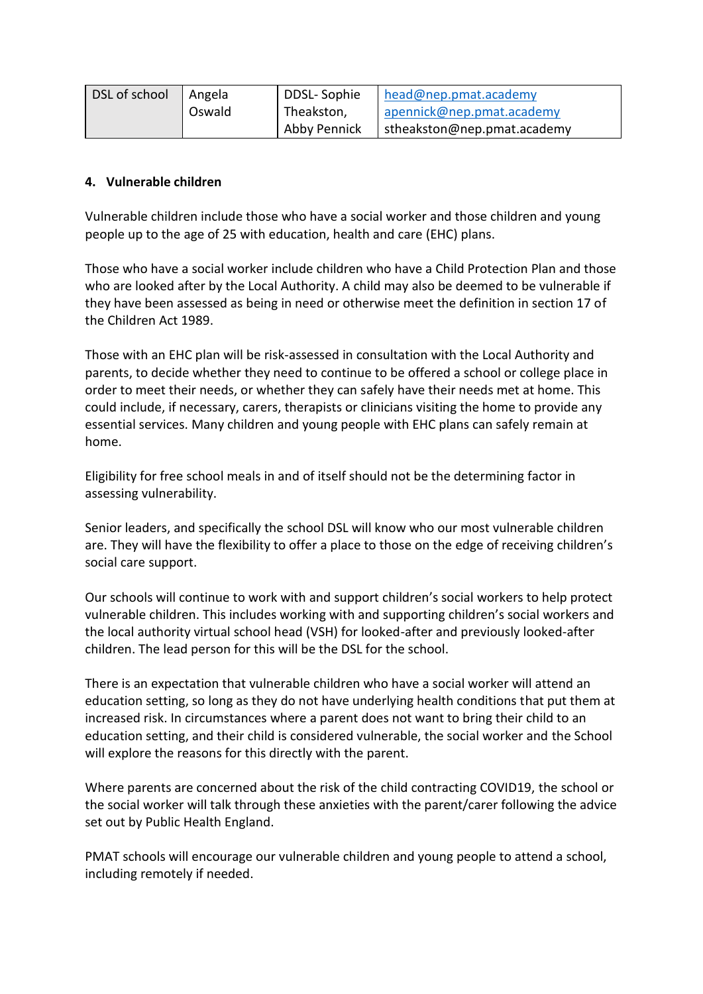| DSL of school | Angela | DDSL-Sophie  | head@nep.pmat.academy       |
|---------------|--------|--------------|-----------------------------|
|               | Oswald | Theakston,   | apennick@nep.pmat.academy   |
|               |        | Abby Pennick | stheakston@nep.pmat.academy |

#### <span id="page-2-0"></span>**4. Vulnerable children**

Vulnerable children include those who have a social worker and those children and young people up to the age of 25 with education, health and care (EHC) plans.

Those who have a social worker include children who have a Child Protection Plan and those who are looked after by the Local Authority. A child may also be deemed to be vulnerable if they have been assessed as being in need or otherwise meet the definition in section 17 of the Children Act 1989.

Those with an EHC plan will be risk-assessed in consultation with the Local Authority and parents, to decide whether they need to continue to be offered a school or college place in order to meet their needs, or whether they can safely have their needs met at home. This could include, if necessary, carers, therapists or clinicians visiting the home to provide any essential services. Many children and young people with EHC plans can safely remain at home.

Eligibility for free school meals in and of itself should not be the determining factor in assessing vulnerability.

Senior leaders, and specifically the school DSL will know who our most vulnerable children are. They will have the flexibility to offer a place to those on the edge of receiving children's social care support.

Our schools will continue to work with and support children's social workers to help protect vulnerable children. This includes working with and supporting children's social workers and the local authority virtual school head (VSH) for looked-after and previously looked-after children. The lead person for this will be the DSL for the school.

There is an expectation that vulnerable children who have a social worker will attend an education setting, so long as they do not have underlying health conditions that put them at increased risk. In circumstances where a parent does not want to bring their child to an education setting, and their child is considered vulnerable, the social worker and the School will explore the reasons for this directly with the parent.

Where parents are concerned about the risk of the child contracting COVID19, the school or the social worker will talk through these anxieties with the parent/carer following the advice set out by Public Health England.

PMAT schools will encourage our vulnerable children and young people to attend a school, including remotely if needed.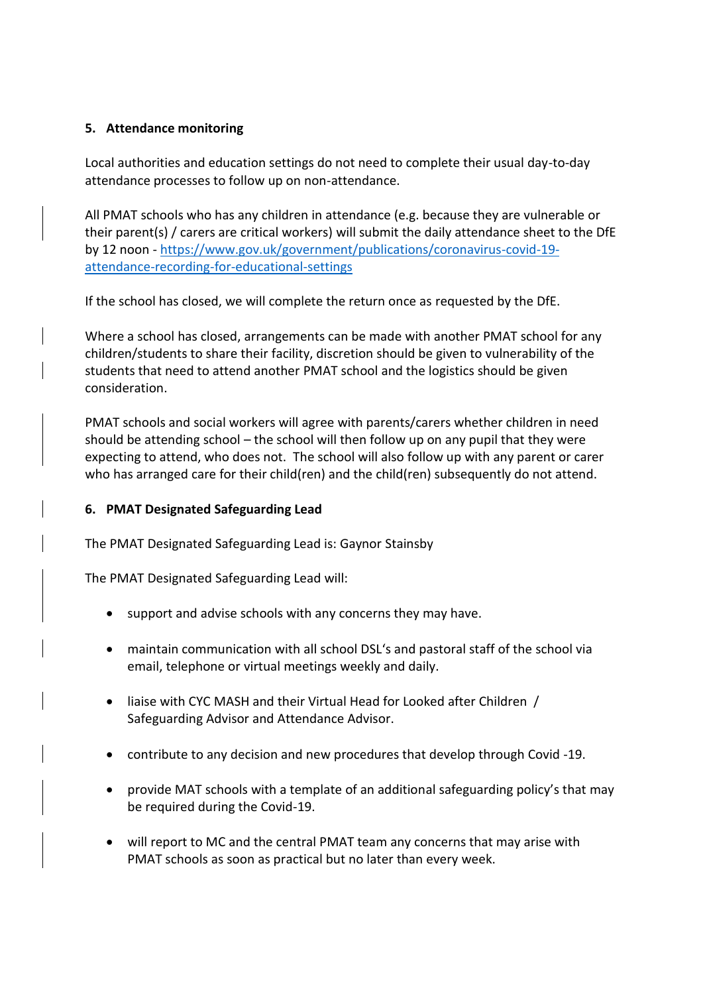#### <span id="page-3-0"></span>**5. Attendance monitoring**

Local authorities and education settings do not need to complete their usual day-to-day attendance processes to follow up on non-attendance.

All PMAT schools who has any children in attendance (e.g. because they are vulnerable or their parent(s) / carers are critical workers) will submit the daily attendance sheet to the DfE by 12 noon - [https://www.gov.uk/government/publications/coronavirus-covid-19](https://www.gov.uk/government/publications/coronavirus-covid-19-attendance-recording-for-educational-settings) [attendance-recording-for-educational-settings](https://www.gov.uk/government/publications/coronavirus-covid-19-attendance-recording-for-educational-settings)

If the school has closed, we will complete the return once as requested by the DfE.

Where a school has closed, arrangements can be made with another PMAT school for any children/students to share their facility, discretion should be given to vulnerability of the students that need to attend another PMAT school and the logistics should be given consideration.

PMAT schools and social workers will agree with parents/carers whether children in need should be attending school – the school will then follow up on any pupil that they were expecting to attend, who does not. The school will also follow up with any parent or carer who has arranged care for their child(ren) and the child(ren) subsequently do not attend.

# <span id="page-3-1"></span>**6. PMAT Designated Safeguarding Lead**

The PMAT Designated Safeguarding Lead is: Gaynor Stainsby

The PMAT Designated Safeguarding Lead will:

- support and advise schools with any concerns they may have.
- maintain communication with all school DSL's and pastoral staff of the school via email, telephone or virtual meetings weekly and daily.
- liaise with CYC MASH and their Virtual Head for Looked after Children / Safeguarding Advisor and Attendance Advisor.
- contribute to any decision and new procedures that develop through Covid -19.
- provide MAT schools with a template of an additional safeguarding policy's that may be required during the Covid-19.
- will report to MC and the central PMAT team any concerns that may arise with PMAT schools as soon as practical but no later than every week.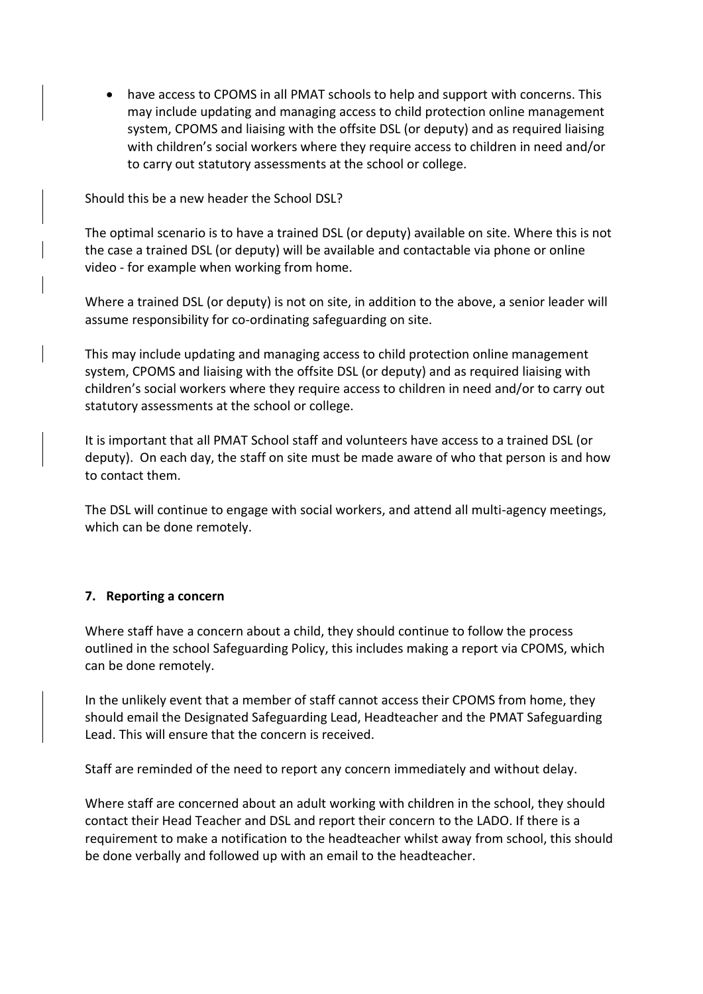• have access to CPOMS in all PMAT schools to help and support with concerns. This may include updating and managing access to child protection online management system, CPOMS and liaising with the offsite DSL (or deputy) and as required liaising with children's social workers where they require access to children in need and/or to carry out statutory assessments at the school or college.

Should this be a new header the School DSL?

The optimal scenario is to have a trained DSL (or deputy) available on site. Where this is not the case a trained DSL (or deputy) will be available and contactable via phone or online video - for example when working from home.

Where a trained DSL (or deputy) is not on site, in addition to the above, a senior leader will assume responsibility for co-ordinating safeguarding on site.

This may include updating and managing access to child protection online management system, CPOMS and liaising with the offsite DSL (or deputy) and as required liaising with children's social workers where they require access to children in need and/or to carry out statutory assessments at the school or college.

It is important that all PMAT School staff and volunteers have access to a trained DSL (or deputy). On each day, the staff on site must be made aware of who that person is and how to contact them.

The DSL will continue to engage with social workers, and attend all multi-agency meetings, which can be done remotely.

#### <span id="page-4-0"></span>**7. Reporting a concern**

Where staff have a concern about a child, they should continue to follow the process outlined in the school Safeguarding Policy, this includes making a report via CPOMS, which can be done remotely.

In the unlikely event that a member of staff cannot access their CPOMS from home, they should email the Designated Safeguarding Lead, Headteacher and the PMAT Safeguarding Lead. This will ensure that the concern is received.

Staff are reminded of the need to report any concern immediately and without delay.

Where staff are concerned about an adult working with children in the school, they should contact their Head Teacher and DSL and report their concern to the LADO. If there is a requirement to make a notification to the headteacher whilst away from school, this should be done verbally and followed up with an email to the headteacher.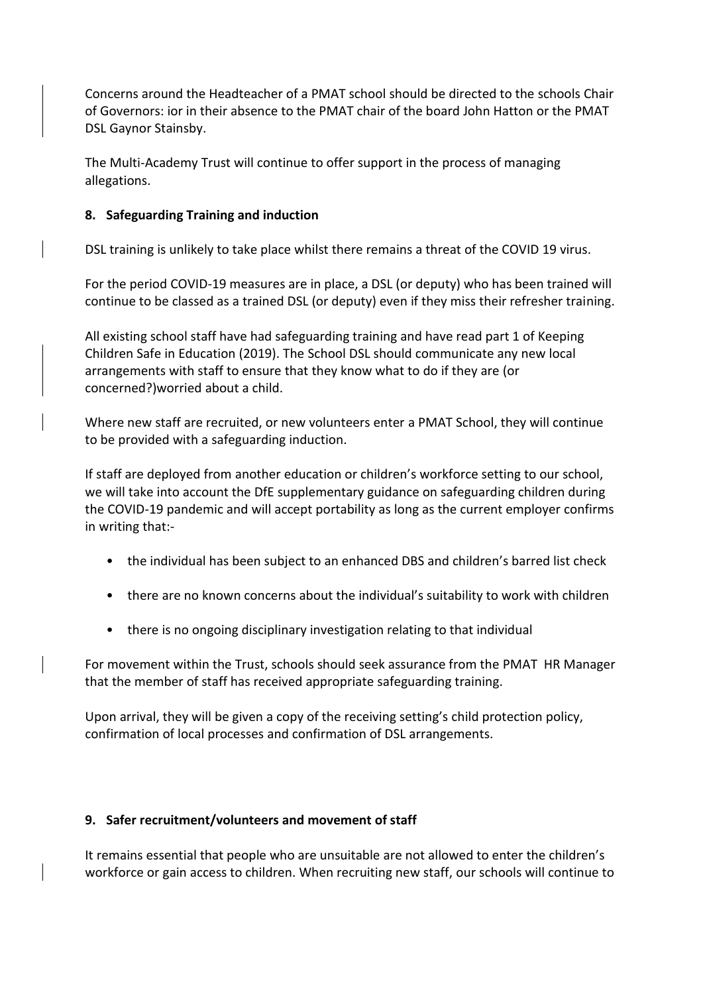Concerns around the Headteacher of a PMAT school should be directed to the schools Chair of Governors: ior in their absence to the PMAT chair of the board John Hatton or the PMAT DSL Gaynor Stainsby.

The Multi-Academy Trust will continue to offer support in the process of managing allegations.

# <span id="page-5-0"></span>**8. Safeguarding Training and induction**

DSL training is unlikely to take place whilst there remains a threat of the COVID 19 virus.

For the period COVID-19 measures are in place, a DSL (or deputy) who has been trained will continue to be classed as a trained DSL (or deputy) even if they miss their refresher training.

All existing school staff have had safeguarding training and have read part 1 of Keeping Children Safe in Education (2019). The School DSL should communicate any new local arrangements with staff to ensure that they know what to do if they are (or concerned?)worried about a child.

Where new staff are recruited, or new volunteers enter a PMAT School, they will continue to be provided with a safeguarding induction.

If staff are deployed from another education or children's workforce setting to our school, we will take into account the DfE supplementary guidance on safeguarding children during the COVID-19 pandemic and will accept portability as long as the current employer confirms in writing that:-

- the individual has been subject to an enhanced DBS and children's barred list check
- there are no known concerns about the individual's suitability to work with children
- there is no ongoing disciplinary investigation relating to that individual

For movement within the Trust, schools should seek assurance from the PMAT HR Manager that the member of staff has received appropriate safeguarding training.

Upon arrival, they will be given a copy of the receiving setting's child protection policy, confirmation of local processes and confirmation of DSL arrangements.

#### <span id="page-5-1"></span>**9. Safer recruitment/volunteers and movement of staff**

It remains essential that people who are unsuitable are not allowed to enter the children's workforce or gain access to children. When recruiting new staff, our schools will continue to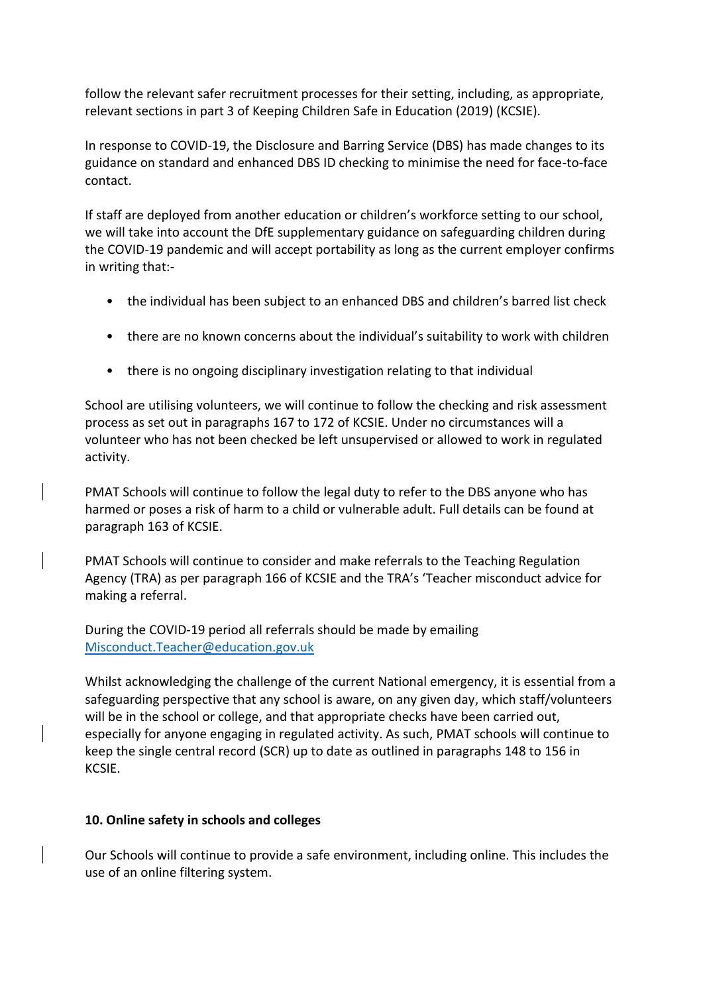follow the relevant safer recruitment processes for their setting, including, as appropriate, relevant sections in part 3 of Keeping Children Safe in Education (2019) (KCSIE).

In response to COVID-19, the Disclosure and Barring Service (DBS) has made changes to its guidance on standard and enhanced DBS ID checking to minimise the need for face-to-face contact.

If staff are deployed from another education or children's workforce setting to our school, we will take into account the DfE supplementary guidance on safeguarding children during the COVID-19 pandemic and will accept portability as long as the current employer confirms in writing that:-

- the individual has been subject to an enhanced DBS and children's barred list check
- there are no known concerns about the individual's suitability to work with children
- there is no ongoing disciplinary investigation relating to that individual

School are utilising volunteers, we will continue to follow the checking and risk assessment process as set out in paragraphs 167 to 172 of KCSIE. Under no circumstances will a volunteer who has not been checked be left unsupervised or allowed to work in regulated activity.

PMAT Schools will continue to follow the legal duty to refer to the DBS anyone who has harmed or poses a risk of harm to a child or vulnerable adult. Full details can be found at paragraph 163 of KCSIE.

PMAT Schools will continue to consider and make referrals to the Teaching Regulation Agency (TRA) as per paragraph 166 of KCSIE and the TRA's 'Teacher misconduct advice for making a referral.

During the COVID-19 period all referrals should be made by emailing [Misconduct.Teacher@education.gov.uk](mailto:Misconduct.Teacher@education.gov.uk)

Whilst acknowledging the challenge of the current National emergency, it is essential from a safeguarding perspective that any school is aware, on any given day, which staff/volunteers will be in the school or college, and that appropriate checks have been carried out, especially for anyone engaging in regulated activity. As such, PMAT schools will continue to keep the single central record (SCR) up to date as outlined in paragraphs 148 to 156 in KCSIE.

# <span id="page-6-0"></span>**10. Online safety in schools and colleges**

Our Schools will continue to provide a safe environment, including online. This includes the use of an online filtering system.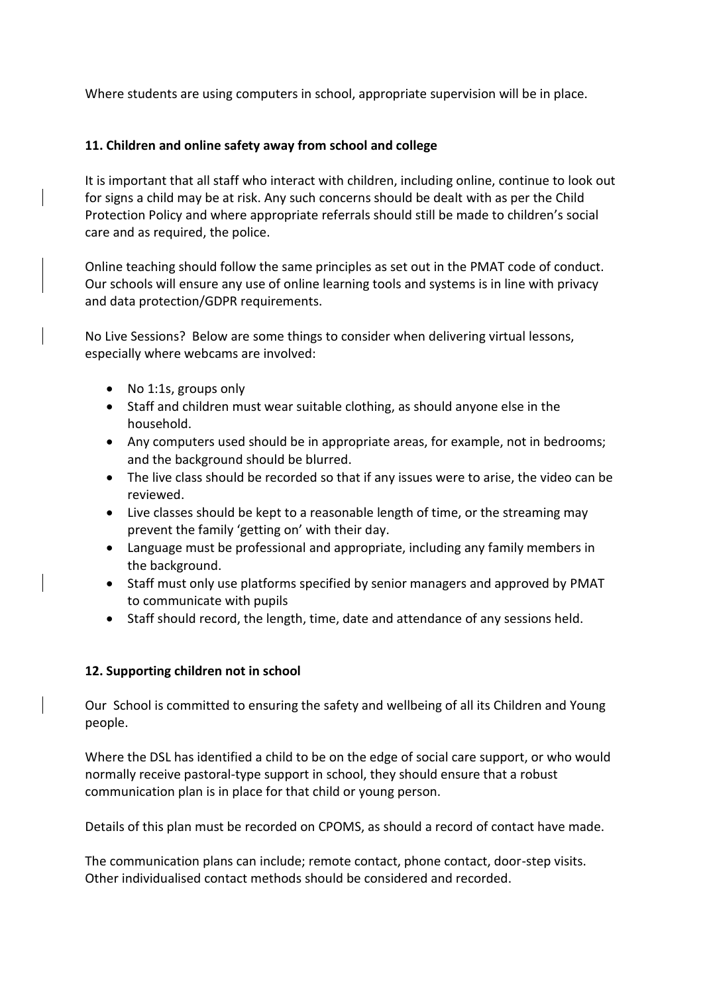Where students are using computers in school, appropriate supervision will be in place.

#### <span id="page-7-0"></span>**11. Children and online safety away from school and college**

It is important that all staff who interact with children, including online, continue to look out for signs a child may be at risk. Any such concerns should be dealt with as per the Child Protection Policy and where appropriate referrals should still be made to children's social care and as required, the police.

Online teaching should follow the same principles as set out in the PMAT code of conduct. Our schools will ensure any use of online learning tools and systems is in line with privacy and data protection/GDPR requirements.

No Live Sessions? Below are some things to consider when delivering virtual lessons, especially where webcams are involved:

- No 1:1s, groups only
- Staff and children must wear suitable clothing, as should anyone else in the household.
- Any computers used should be in appropriate areas, for example, not in bedrooms; and the background should be blurred.
- The live class should be recorded so that if any issues were to arise, the video can be reviewed.
- Live classes should be kept to a reasonable length of time, or the streaming may prevent the family 'getting on' with their day.
- Language must be professional and appropriate, including any family members in the background.
- Staff must only use platforms specified by senior managers and approved by PMAT to communicate with pupils
- Staff should record, the length, time, date and attendance of any sessions held.

# <span id="page-7-1"></span>**12. Supporting children not in school**

Our School is committed to ensuring the safety and wellbeing of all its Children and Young people.

Where the DSL has identified a child to be on the edge of social care support, or who would normally receive pastoral-type support in school, they should ensure that a robust communication plan is in place for that child or young person.

Details of this plan must be recorded on CPOMS, as should a record of contact have made.

The communication plans can include; remote contact, phone contact, door-step visits. Other individualised contact methods should be considered and recorded.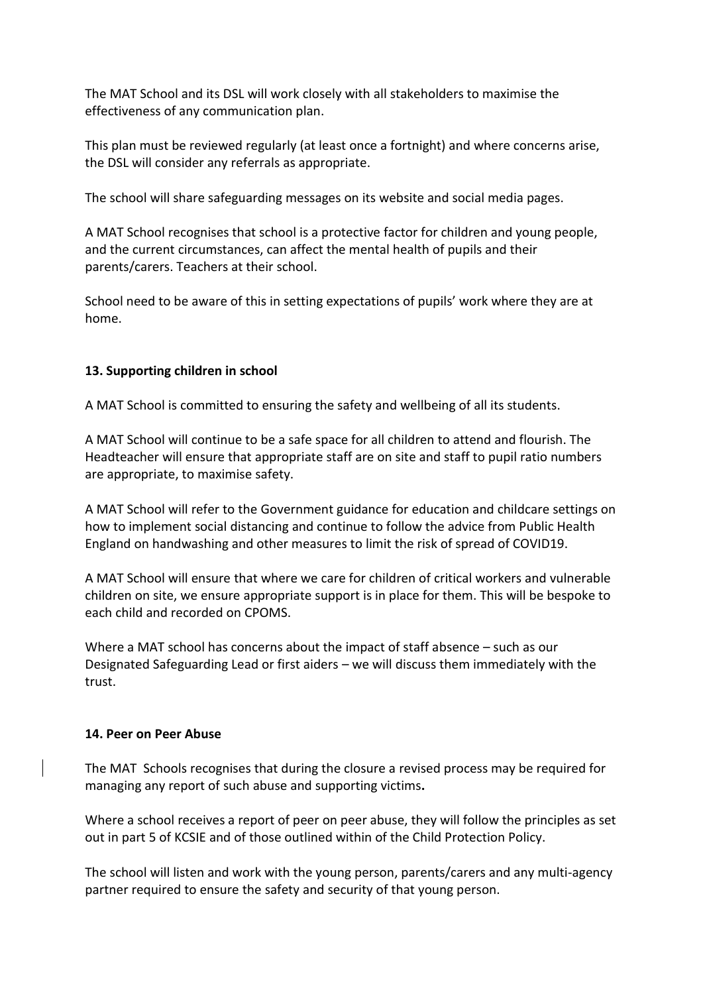The MAT School and its DSL will work closely with all stakeholders to maximise the effectiveness of any communication plan.

This plan must be reviewed regularly (at least once a fortnight) and where concerns arise, the DSL will consider any referrals as appropriate.

The school will share safeguarding messages on its website and social media pages.

A MAT School recognises that school is a protective factor for children and young people, and the current circumstances, can affect the mental health of pupils and their parents/carers. Teachers at their school.

School need to be aware of this in setting expectations of pupils' work where they are at home.

# <span id="page-8-0"></span>**13. Supporting children in school**

A MAT School is committed to ensuring the safety and wellbeing of all its students.

A MAT School will continue to be a safe space for all children to attend and flourish. The Headteacher will ensure that appropriate staff are on site and staff to pupil ratio numbers are appropriate, to maximise safety.

A MAT School will refer to the Government guidance for education and childcare settings on how to implement social distancing and continue to follow the advice from Public Health England on handwashing and other measures to limit the risk of spread of COVID19.

A MAT School will ensure that where we care for children of critical workers and vulnerable children on site, we ensure appropriate support is in place for them. This will be bespoke to each child and recorded on CPOMS.

Where a MAT school has concerns about the impact of staff absence – such as our Designated Safeguarding Lead or first aiders – we will discuss them immediately with the trust.

#### <span id="page-8-1"></span>**14. Peer on Peer Abuse**

The MAT Schools recognises that during the closure a revised process may be required for managing any report of such abuse and supporting victims**.** 

Where a school receives a report of peer on peer abuse, they will follow the principles as set out in part 5 of KCSIE and of those outlined within of the Child Protection Policy.

The school will listen and work with the young person, parents/carers and any multi-agency partner required to ensure the safety and security of that young person.